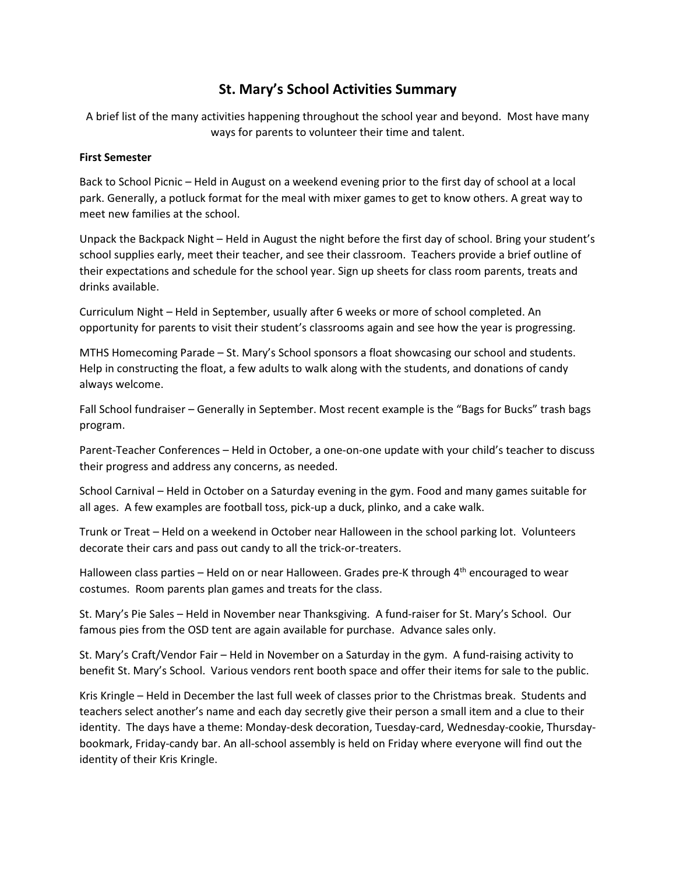## St. Mary's School Activities Summary

A brief list of the many activities happening throughout the school year and beyond. Most have many ways for parents to volunteer their time and talent.

## First Semester

Back to School Picnic – Held in August on a weekend evening prior to the first day of school at a local park. Generally, a potluck format for the meal with mixer games to get to know others. A great way to meet new families at the school.

Unpack the Backpack Night – Held in August the night before the first day of school. Bring your student's school supplies early, meet their teacher, and see their classroom. Teachers provide a brief outline of their expectations and schedule for the school year. Sign up sheets for class room parents, treats and drinks available.

Curriculum Night – Held in September, usually after 6 weeks or more of school completed. An opportunity for parents to visit their student's classrooms again and see how the year is progressing.

MTHS Homecoming Parade – St. Mary's School sponsors a float showcasing our school and students. Help in constructing the float, a few adults to walk along with the students, and donations of candy always welcome.

Fall School fundraiser – Generally in September. Most recent example is the "Bags for Bucks" trash bags program.

Parent-Teacher Conferences – Held in October, a one-on-one update with your child's teacher to discuss their progress and address any concerns, as needed.

School Carnival – Held in October on a Saturday evening in the gym. Food and many games suitable for all ages. A few examples are football toss, pick-up a duck, plinko, and a cake walk.

Trunk or Treat – Held on a weekend in October near Halloween in the school parking lot. Volunteers decorate their cars and pass out candy to all the trick-or-treaters.

Halloween class parties – Held on or near Halloween. Grades pre-K through 4<sup>th</sup> encouraged to wear costumes. Room parents plan games and treats for the class.

St. Mary's Pie Sales – Held in November near Thanksgiving. A fund-raiser for St. Mary's School. Our famous pies from the OSD tent are again available for purchase. Advance sales only.

St. Mary's Craft/Vendor Fair – Held in November on a Saturday in the gym. A fund-raising activity to benefit St. Mary's School. Various vendors rent booth space and offer their items for sale to the public.

Kris Kringle – Held in December the last full week of classes prior to the Christmas break. Students and teachers select another's name and each day secretly give their person a small item and a clue to their identity. The days have a theme: Monday-desk decoration, Tuesday-card, Wednesday-cookie, Thursdaybookmark, Friday-candy bar. An all-school assembly is held on Friday where everyone will find out the identity of their Kris Kringle.